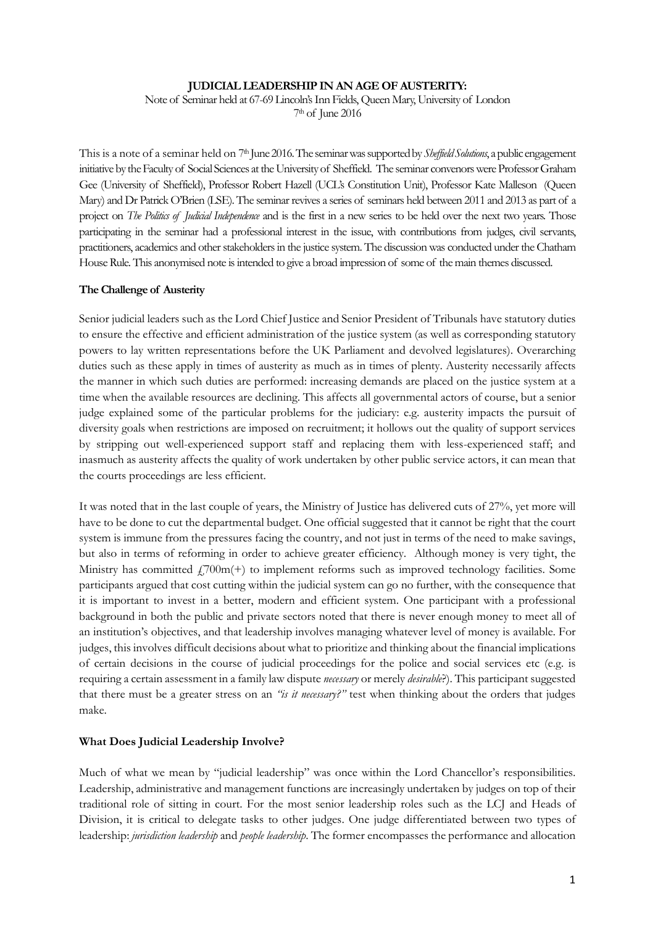## **JUDICIAL LEADERSHIP IN AN AGE OF AUSTERITY:**

Note of Seminar held at 67-69 Lincoln's Inn Fields, Queen Mary, University of London 7th of June 2016

This is a note of a seminar held on 7<sup>th</sup> June 2016. The seminar was supported by *Sheffield Solutions*, a public engagement initiative by the Faculty of Social Sciences at the University of Sheffield. The seminar convenors were Professor Graham Gee (University of Sheffield), Professor Robert Hazell (UCL's Constitution Unit), Professor Kate Malleson (Queen Mary) and Dr Patrick O'Brien (LSE). The seminar revives a series of seminars held between 2011 and 2013 as part of a project on *The Politics of Judicial Independence* and is the first in a new series to be held over the next two years. Those participating in the seminar had a professional interest in the issue, with contributions from judges, civil servants, practitioners, academics and other stakeholders in the justice system. The discussionwas conducted under the Chatham House Rule. This anonymised note is intended to give a broad impression of some of the main themes discussed.

## **The Challenge of Austerity**

Senior judicial leaders such as the Lord Chief Justice and Senior President of Tribunals have statutory duties to ensure the effective and efficient administration of the justice system (as well as corresponding statutory powers to lay written representations before the UK Parliament and devolved legislatures). Overarching duties such as these apply in times of austerity as much as in times of plenty. Austerity necessarily affects the manner in which such duties are performed: increasing demands are placed on the justice system at a time when the available resources are declining. This affects all governmental actors of course, but a senior judge explained some of the particular problems for the judiciary: e.g. austerity impacts the pursuit of diversity goals when restrictions are imposed on recruitment; it hollows out the quality of support services by stripping out well-experienced support staff and replacing them with less-experienced staff; and inasmuch as austerity affects the quality of work undertaken by other public service actors, it can mean that the courts proceedings are less efficient.

It was noted that in the last couple of years, the Ministry of Justice has delivered cuts of 27%, yet more will have to be done to cut the departmental budget. One official suggested that it cannot be right that the court system is immune from the pressures facing the country, and not just in terms of the need to make savings, but also in terms of reforming in order to achieve greater efficiency. Although money is very tight, the Ministry has committed  $f_1$ 700m(+) to implement reforms such as improved technology facilities. Some participants argued that cost cutting within the judicial system can go no further, with the consequence that it is important to invest in a better, modern and efficient system. One participant with a professional background in both the public and private sectors noted that there is never enough money to meet all of an institution's objectives, and that leadership involves managing whatever level of money is available. For judges, this involves difficult decisions about what to prioritize and thinking about the financial implications of certain decisions in the course of judicial proceedings for the police and social services etc (e.g. is requiring a certain assessment in a family law dispute *necessary* or merely *desirable*?). This participant suggested that there must be a greater stress on an *"is it necessary?"* test when thinking about the orders that judges make.

## **What Does Judicial Leadership Involve?**

Much of what we mean by "judicial leadership" was once within the Lord Chancellor's responsibilities. Leadership, administrative and management functions are increasingly undertaken by judges on top of their traditional role of sitting in court. For the most senior leadership roles such as the LCJ and Heads of Division, it is critical to delegate tasks to other judges. One judge differentiated between two types of leadership: *jurisdiction leadership* and *people leadership*. The former encompasses the performance and allocation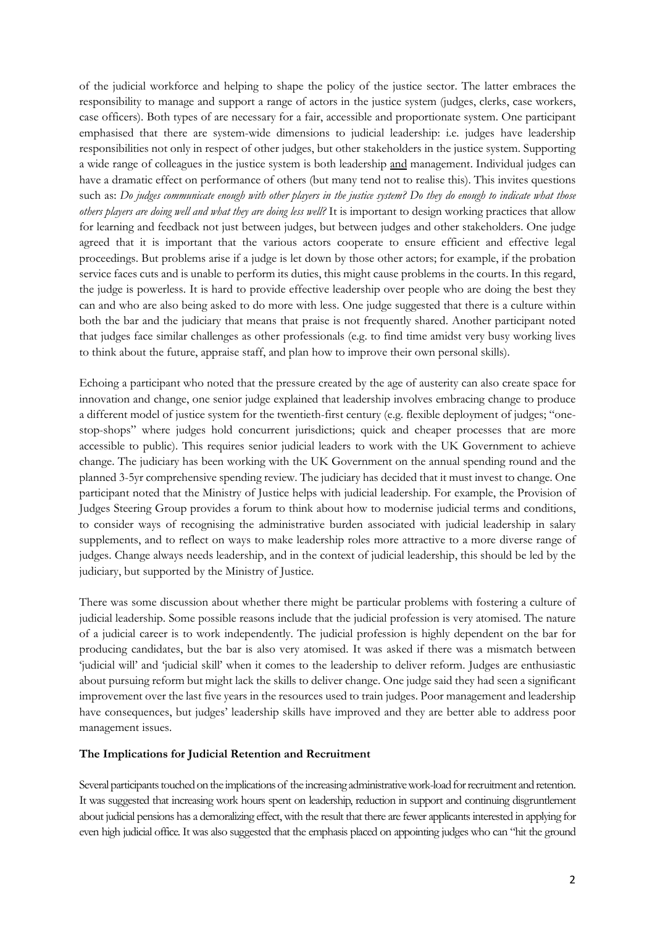of the judicial workforce and helping to shape the policy of the justice sector. The latter embraces the responsibility to manage and support a range of actors in the justice system (judges, clerks, case workers, case officers). Both types of are necessary for a fair, accessible and proportionate system. One participant emphasised that there are system-wide dimensions to judicial leadership: i.e. judges have leadership responsibilities not only in respect of other judges, but other stakeholders in the justice system. Supporting a wide range of colleagues in the justice system is both leadership and management. Individual judges can have a dramatic effect on performance of others (but many tend not to realise this). This invites questions such as: *Do judges communicate enough with other players in the justice system? Do they do enough to indicate what those others players are doing well and what they are doing less well?* It is important to design working practices that allow for learning and feedback not just between judges, but between judges and other stakeholders. One judge agreed that it is important that the various actors cooperate to ensure efficient and effective legal proceedings. But problems arise if a judge is let down by those other actors; for example, if the probation service faces cuts and is unable to perform its duties, this might cause problems in the courts. In this regard, the judge is powerless. It is hard to provide effective leadership over people who are doing the best they can and who are also being asked to do more with less. One judge suggested that there is a culture within both the bar and the judiciary that means that praise is not frequently shared. Another participant noted that judges face similar challenges as other professionals (e.g. to find time amidst very busy working lives to think about the future, appraise staff, and plan how to improve their own personal skills).

Echoing a participant who noted that the pressure created by the age of austerity can also create space for innovation and change, one senior judge explained that leadership involves embracing change to produce a different model of justice system for the twentieth-first century (e.g. flexible deployment of judges; "onestop-shops" where judges hold concurrent jurisdictions; quick and cheaper processes that are more accessible to public). This requires senior judicial leaders to work with the UK Government to achieve change. The judiciary has been working with the UK Government on the annual spending round and the planned 3-5yr comprehensive spending review. The judiciary has decided that it must invest to change. One participant noted that the Ministry of Justice helps with judicial leadership. For example, the Provision of Judges Steering Group provides a forum to think about how to modernise judicial terms and conditions, to consider ways of recognising the administrative burden associated with judicial leadership in salary supplements, and to reflect on ways to make leadership roles more attractive to a more diverse range of judges. Change always needs leadership, and in the context of judicial leadership, this should be led by the judiciary, but supported by the Ministry of Justice.

There was some discussion about whether there might be particular problems with fostering a culture of judicial leadership. Some possible reasons include that the judicial profession is very atomised. The nature of a judicial career is to work independently. The judicial profession is highly dependent on the bar for producing candidates, but the bar is also very atomised. It was asked if there was a mismatch between 'judicial will' and 'judicial skill' when it comes to the leadership to deliver reform. Judges are enthusiastic about pursuing reform but might lack the skills to deliver change. One judge said they had seen a significant improvement over the last five years in the resources used to train judges. Poor management and leadership have consequences, but judges' leadership skills have improved and they are better able to address poor management issues.

## **The Implications for Judicial Retention and Recruitment**

Several participants touched on the implications of the increasing administrative work-load for recruitment and retention. It was suggested that increasing work hours spent on leadership, reduction in support and continuing disgruntlement about judicial pensions has a demoralizing effect, with the result that there are fewer applicants interested in applying for even high judicial office. It was also suggested that the emphasis placed on appointing judges who can "hit the ground